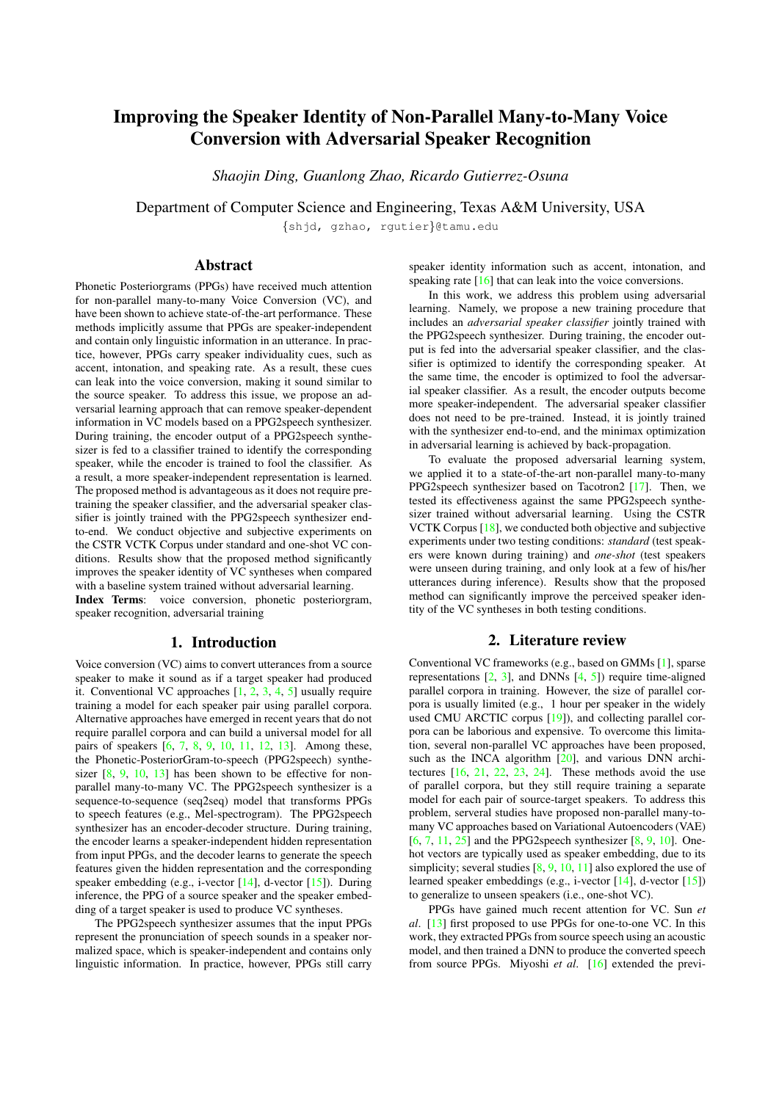# Improving the Speaker Identity of Non-Parallel Many-to-Many Voice Conversion with Adversarial Speaker Recognition

*Shaojin Ding, Guanlong Zhao, Ricardo Gutierrez-Osuna*

Department of Computer Science and Engineering, Texas A&M University, USA

{shjd, gzhao, rgutier}@tamu.edu

# Abstract

Phonetic Posteriorgrams (PPGs) have received much attention for non-parallel many-to-many Voice Conversion (VC), and have been shown to achieve state-of-the-art performance. These methods implicitly assume that PPGs are speaker-independent and contain only linguistic information in an utterance. In practice, however, PPGs carry speaker individuality cues, such as accent, intonation, and speaking rate. As a result, these cues can leak into the voice conversion, making it sound similar to the source speaker. To address this issue, we propose an adversarial learning approach that can remove speaker-dependent information in VC models based on a PPG2speech synthesizer. During training, the encoder output of a PPG2speech synthesizer is fed to a classifier trained to identify the corresponding speaker, while the encoder is trained to fool the classifier. As a result, a more speaker-independent representation is learned. The proposed method is advantageous as it does not require pretraining the speaker classifier, and the adversarial speaker classifier is jointly trained with the PPG2speech synthesizer endto-end. We conduct objective and subjective experiments on the CSTR VCTK Corpus under standard and one-shot VC conditions. Results show that the proposed method significantly improves the speaker identity of VC syntheses when compared with a baseline system trained without adversarial learning. Index Terms: voice conversion, phonetic posteriorgram, speaker recognition, adversarial training

## 1. Introduction

Voice conversion (VC) aims to convert utterances from a source speaker to make it sound as if a target speaker had produced it. Conventional VC approaches [\[1,](#page-4-0) [2,](#page-4-1) [3,](#page-4-2) [4,](#page-4-3) [5\]](#page-4-4) usually require training a model for each speaker pair using parallel corpora. Alternative approaches have emerged in recent years that do not require parallel corpora and can build a universal model for all pairs of speakers [\[6,](#page-4-5) [7,](#page-4-6) [8,](#page-4-7) [9,](#page-4-8) [10,](#page-4-9) [11,](#page-4-10) [12,](#page-4-11) [13\]](#page-4-12). Among these, the Phonetic-PosteriorGram-to-speech (PPG2speech) synthesizer  $[8, 9, 10, 13]$  $[8, 9, 10, 13]$  $[8, 9, 10, 13]$  $[8, 9, 10, 13]$  $[8, 9, 10, 13]$  $[8, 9, 10, 13]$  $[8, 9, 10, 13]$  has been shown to be effective for nonparallel many-to-many VC. The PPG2speech synthesizer is a sequence-to-sequence (seq2seq) model that transforms PPGs to speech features (e.g., Mel-spectrogram). The PPG2speech synthesizer has an encoder-decoder structure. During training, the encoder learns a speaker-independent hidden representation from input PPGs, and the decoder learns to generate the speech features given the hidden representation and the corresponding speaker embedding (e.g., i-vector  $[14]$ , d-vector  $[15]$ ). During inference, the PPG of a source speaker and the speaker embedding of a target speaker is used to produce VC syntheses.

The PPG2speech synthesizer assumes that the input PPGs represent the pronunciation of speech sounds in a speaker normalized space, which is speaker-independent and contains only linguistic information. In practice, however, PPGs still carry speaker identity information such as accent, intonation, and speaking rate [\[16\]](#page-4-15) that can leak into the voice conversions.

In this work, we address this problem using adversarial learning. Namely, we propose a new training procedure that includes an *adversarial speaker classifier* jointly trained with the PPG2speech synthesizer. During training, the encoder output is fed into the adversarial speaker classifier, and the classifier is optimized to identify the corresponding speaker. At the same time, the encoder is optimized to fool the adversarial speaker classifier. As a result, the encoder outputs become more speaker-independent. The adversarial speaker classifier does not need to be pre-trained. Instead, it is jointly trained with the synthesizer end-to-end, and the minimax optimization in adversarial learning is achieved by back-propagation.

To evaluate the proposed adversarial learning system, we applied it to a state-of-the-art non-parallel many-to-many PPG2speech synthesizer based on Tacotron2 [\[17\]](#page-4-16). Then, we tested its effectiveness against the same PPG2speech synthesizer trained without adversarial learning. Using the CSTR VCTK Corpus [\[18\]](#page-4-17), we conducted both objective and subjective experiments under two testing conditions: *standard* (test speakers were known during training) and *one-shot* (test speakers were unseen during training, and only look at a few of his/her utterances during inference). Results show that the proposed method can significantly improve the perceived speaker identity of the VC syntheses in both testing conditions.

# 2. Literature review

Conventional VC frameworks (e.g., based on GMMs [\[1\]](#page-4-0), sparse representations  $[2, 3]$  $[2, 3]$  $[2, 3]$ , and DNNs  $[4, 5]$  $[4, 5]$  $[4, 5]$ ) require time-aligned parallel corpora in training. However, the size of parallel corpora is usually limited (e.g., 1 hour per speaker in the widely used CMU ARCTIC corpus [\[19\]](#page-4-18)), and collecting parallel corpora can be laborious and expensive. To overcome this limitation, several non-parallel VC approaches have been proposed, such as the INCA algorithm [\[20\]](#page-4-19), and various DNN architectures [\[16,](#page-4-15) [21,](#page-4-20) [22,](#page-4-21) [23,](#page-4-22) [24\]](#page-4-23). These methods avoid the use of parallel corpora, but they still require training a separate model for each pair of source-target speakers. To address this problem, serveral studies have proposed non-parallel many-tomany VC approaches based on Variational Autoencoders (VAE)  $[6, 7, 11, 25]$  $[6, 7, 11, 25]$  $[6, 7, 11, 25]$  $[6, 7, 11, 25]$  $[6, 7, 11, 25]$  $[6, 7, 11, 25]$  $[6, 7, 11, 25]$  and the PPG2speech synthesizer  $[8, 9, 10]$  $[8, 9, 10]$  $[8, 9, 10]$  $[8, 9, 10]$  $[8, 9, 10]$ . Onehot vectors are typically used as speaker embedding, due to its simplicity; several studies [\[8,](#page-4-7) [9,](#page-4-8) [10,](#page-4-9) [11\]](#page-4-10) also explored the use of learned speaker embeddings (e.g., i-vector [\[14\]](#page-4-13), d-vector [\[15\]](#page-4-14)) to generalize to unseen speakers (i.e., one-shot VC).

PPGs have gained much recent attention for VC. Sun *et al*. [\[13\]](#page-4-12) first proposed to use PPGs for one-to-one VC. In this work, they extracted PPGs from source speech using an acoustic model, and then trained a DNN to produce the converted speech from source PPGs. Miyoshi *et al*. [\[16\]](#page-4-15) extended the previ-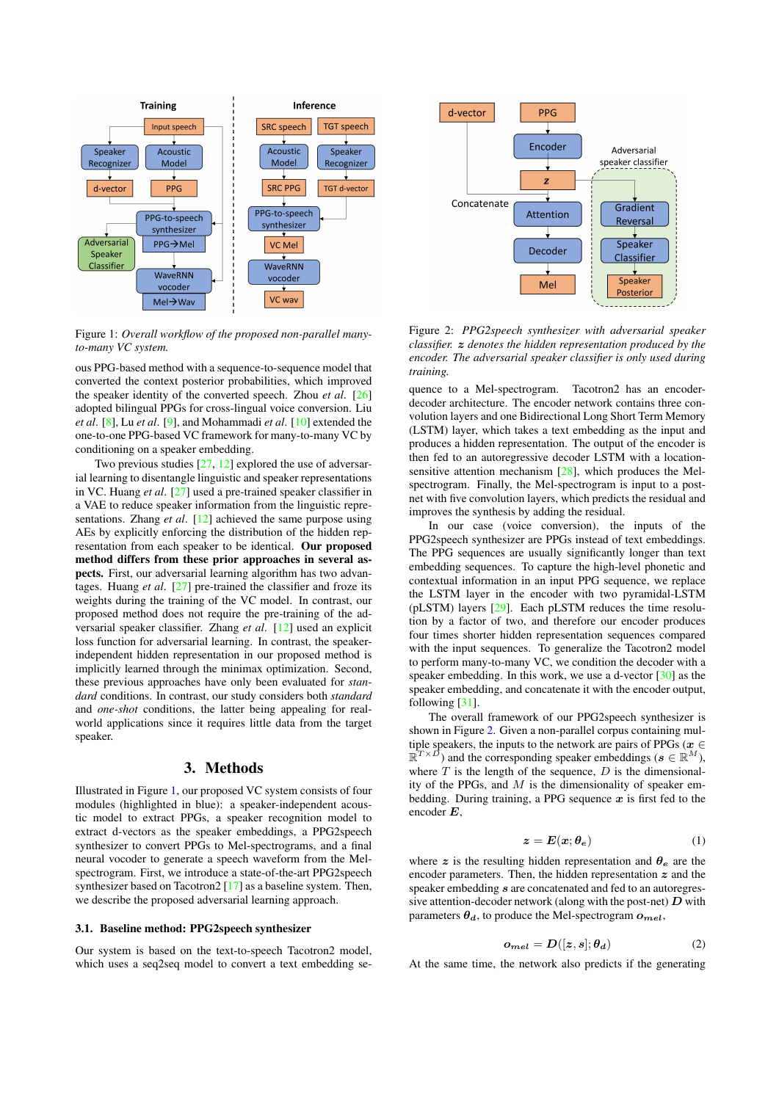<span id="page-1-0"></span>

Figure 1: *Overall workflow of the proposed non-parallel manyto-many VC system.*

ous PPG-based method with a sequence-to-sequence model that converted the context posterior probabilities, which improved the speaker identity of the converted speech. Zhou *et al*. [\[26\]](#page-4-25) adopted bilingual PPGs for cross-lingual voice conversion. Liu *et al*. [\[8\]](#page-4-7), Lu *et al*. [\[9\]](#page-4-8), and Mohammadi *et al*. [\[10\]](#page-4-9) extended the one-to-one PPG-based VC framework for many-to-many VC by conditioning on a speaker embedding.

Two previous studies [\[27,](#page-4-26) [12\]](#page-4-11) explored the use of adversarial learning to disentangle linguistic and speaker representations in VC. Huang *et al*. [\[27\]](#page-4-26) used a pre-trained speaker classifier in a VAE to reduce speaker information from the linguistic representations. Zhang *et al*. [\[12\]](#page-4-11) achieved the same purpose using AEs by explicitly enforcing the distribution of the hidden representation from each speaker to be identical. Our proposed method differs from these prior approaches in several aspects. First, our adversarial learning algorithm has two advantages. Huang *et al*. [\[27\]](#page-4-26) pre-trained the classifier and froze its weights during the training of the VC model. In contrast, our proposed method does not require the pre-training of the adversarial speaker classifier. Zhang *et al*. [\[12\]](#page-4-11) used an explicit loss function for adversarial learning. In contrast, the speakerindependent hidden representation in our proposed method is implicitly learned through the minimax optimization. Second, these previous approaches have only been evaluated for *standard* conditions. In contrast, our study considers both *standard* and *one-shot* conditions, the latter being appealing for realworld applications since it requires little data from the target speaker.

# 3. Methods

Illustrated in Figure [1,](#page-1-0) our proposed VC system consists of four modules (highlighted in blue): a speaker-independent acoustic model to extract PPGs, a speaker recognition model to extract d-vectors as the speaker embeddings, a PPG2speech synthesizer to convert PPGs to Mel-spectrograms, and a final neural vocoder to generate a speech waveform from the Melspectrogram. First, we introduce a state-of-the-art PPG2speech synthesizer based on Tacotron2 [\[17\]](#page-4-16) as a baseline system. Then, we describe the proposed adversarial learning approach.

#### <span id="page-1-2"></span>3.1. Baseline method: PPG2speech synthesizer

Our system is based on the text-to-speech Tacotron2 model, which uses a seq2seq model to convert a text embedding se-

<span id="page-1-1"></span>

Figure 2: *PPG2speech synthesizer with adversarial speaker classifier.* z *denotes the hidden representation produced by the encoder. The adversarial speaker classifier is only used during training.*

quence to a Mel-spectrogram. Tacotron2 has an encoderdecoder architecture. The encoder network contains three convolution layers and one Bidirectional Long Short Term Memory (LSTM) layer, which takes a text embedding as the input and produces a hidden representation. The output of the encoder is then fed to an autoregressive decoder LSTM with a locationsensitive attention mechanism [\[28\]](#page-4-27), which produces the Melspectrogram. Finally, the Mel-spectrogram is input to a postnet with five convolution layers, which predicts the residual and improves the synthesis by adding the residual.

In our case (voice conversion), the inputs of the PPG2speech synthesizer are PPGs instead of text embeddings. The PPG sequences are usually significantly longer than text embedding sequences. To capture the high-level phonetic and contextual information in an input PPG sequence, we replace the LSTM layer in the encoder with two pyramidal-LSTM (pLSTM) layers [\[29\]](#page-4-28). Each pLSTM reduces the time resolution by a factor of two, and therefore our encoder produces four times shorter hidden representation sequences compared with the input sequences. To generalize the Tacotron2 model to perform many-to-many VC, we condition the decoder with a speaker embedding. In this work, we use a d-vector [\[30\]](#page-4-29) as the speaker embedding, and concatenate it with the encoder output, following [\[31\]](#page-4-30).

The overall framework of our PPG2speech synthesizer is shown in Figure [2.](#page-1-1) Given a non-parallel corpus containing multiple speakers, the inputs to the network are pairs of PPGs ( $x \in$  $\mathbb{R}^{T\times D}$ ) and the corresponding speaker embeddings ( $\mathbf{s}\in\mathbb{R}^{M}$ ), where  $T$  is the length of the sequence,  $D$  is the dimensionality of the PPGs, and  $M$  is the dimensionality of speaker embedding. During training, a PPG sequence  $x$  is first fed to the encoder  $E$ 

$$
z = E(x; \theta_e) \tag{1}
$$

where z is the resulting hidden representation and  $\theta_e$  are the encoder parameters. Then, the hidden representation  $z$  and the speaker embedding  $s$  are concatenated and fed to an autoregressive attention-decoder network (along with the post-net)  $D$  with parameters  $\theta_d$ , to produce the Mel-spectrogram  $o_{mel}$ ,

$$
o_{mel} = D([z, s]; \theta_d) \tag{2}
$$

At the same time, the network also predicts if the generating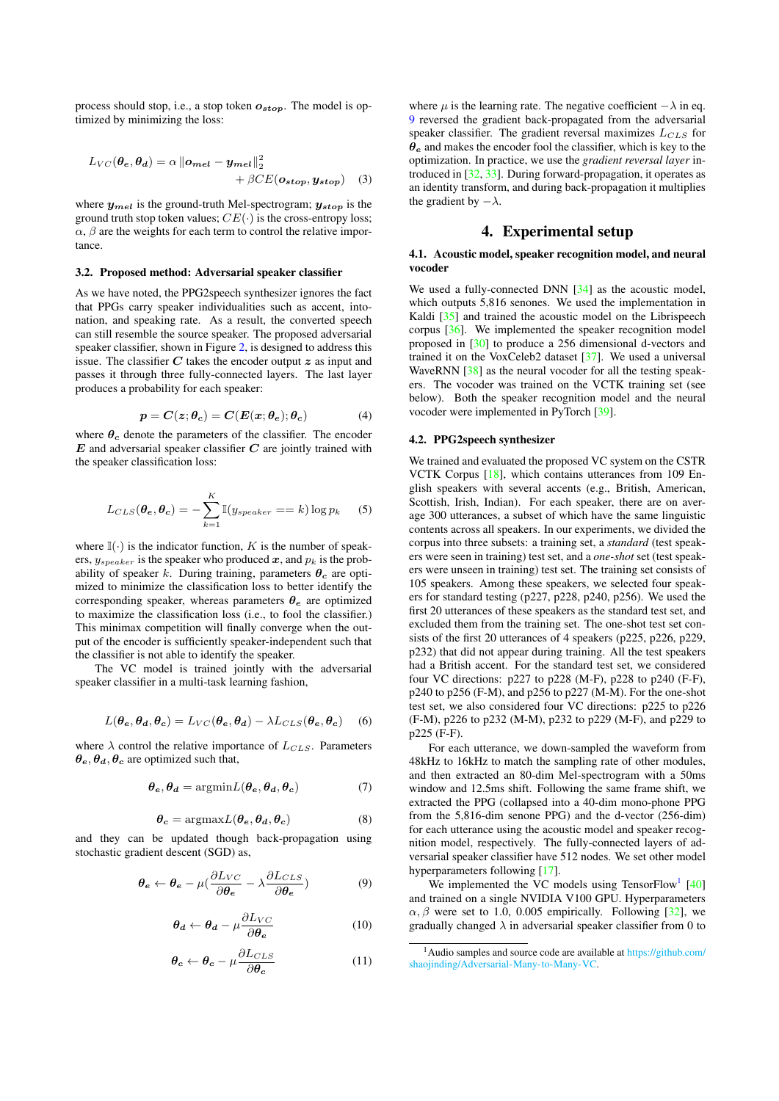process should stop, i.e., a stop token  $o_{stop}$ . The model is optimized by minimizing the loss:

$$
L_{VC}(\theta_e, \theta_d) = \alpha \left\| o_{mel} - y_{mel} \right\|_2^2
$$
  
+  $\beta CE(o_{stop}, y_{stop})$  (3)

where  $y_{mel}$  is the ground-truth Mel-spectrogram;  $y_{stop}$  is the ground truth stop token values;  $CE(\cdot)$  is the cross-entropy loss;  $\alpha$ ,  $\beta$  are the weights for each term to control the relative importance.

#### 3.2. Proposed method: Adversarial speaker classifier

As we have noted, the PPG2speech synthesizer ignores the fact that PPGs carry speaker individualities such as accent, intonation, and speaking rate. As a result, the converted speech can still resemble the source speaker. The proposed adversarial speaker classifier, shown in Figure [2,](#page-1-1) is designed to address this issue. The classifier  $C$  takes the encoder output  $z$  as input and passes it through three fully-connected layers. The last layer produces a probability for each speaker:

$$
p = C(z; \theta_c) = C(E(x; \theta_e); \theta_c)
$$
 (4)

where  $\theta_c$  denote the parameters of the classifier. The encoder  $E$  and adversarial speaker classifier  $C$  are jointly trained with the speaker classification loss:

$$
L_{CLS}(\theta_e, \theta_c) = -\sum_{k=1}^{K} \mathbb{I}(y_{speaker} == k) \log p_k \quad (5)
$$

where  $\mathbb{I}(\cdot)$  is the indicator function, K is the number of speakers,  $y_{\text{speaker}}$  is the speaker who produced x, and  $p_k$  is the probability of speaker k. During training, parameters  $\theta_c$  are optimized to minimize the classification loss to better identify the corresponding speaker, whereas parameters  $\theta_e$  are optimized to maximize the classification loss (i.e., to fool the classifier.) This minimax competition will finally converge when the output of the encoder is sufficiently speaker-independent such that the classifier is not able to identify the speaker.

The VC model is trained jointly with the adversarial speaker classifier in a multi-task learning fashion,

$$
L(\theta_e, \theta_d, \theta_c) = L_{VC}(\theta_e, \theta_d) - \lambda L_{CLS}(\theta_e, \theta_c)
$$
 (6)

where  $\lambda$  control the relative importance of  $L_{CLS}$ . Parameters  $\theta_e$ ,  $\theta_d$ ,  $\theta_c$  are optimized such that,

$$
\boldsymbol{\theta_e}, \boldsymbol{\theta_d} = \text{argmin} L(\boldsymbol{\theta_e}, \boldsymbol{\theta_d}, \boldsymbol{\theta_c}) \tag{7}
$$

$$
\boldsymbol{\theta_c} = \text{argmax} L(\boldsymbol{\theta_e}, \boldsymbol{\theta_d}, \boldsymbol{\theta_c}) \tag{8}
$$

and they can be updated though back-propagation using stochastic gradient descent (SGD) as,

<span id="page-2-0"></span>
$$
\theta_e \leftarrow \theta_e - \mu \left( \frac{\partial L_{VC}}{\partial \theta_e} - \lambda \frac{\partial L_{CLS}}{\partial \theta_e} \right) \tag{9}
$$

$$
\theta_d \leftarrow \theta_d - \mu \frac{\partial L_{VC}}{\partial \theta_e} \tag{10}
$$

$$
\boldsymbol{\theta_c} \leftarrow \boldsymbol{\theta_c} - \mu \frac{\partial L_{CLS}}{\partial \boldsymbol{\theta_c}} \tag{11}
$$

where  $\mu$  is the learning rate. The negative coefficient  $-\lambda$  in eq. [9](#page-2-0) reversed the gradient back-propagated from the adversarial speaker classifier. The gradient reversal maximizes  $L_{CLS}$  for  $\theta_e$  and makes the encoder fool the classifier, which is key to the optimization. In practice, we use the *gradient reversal layer* introduced in [\[32,](#page-4-31) [33\]](#page-4-32). During forward-propagation, it operates as an identity transform, and during back-propagation it multiplies the gradient by  $-\lambda$ .

## 4. Experimental setup

#### 4.1. Acoustic model, speaker recognition model, and neural vocoder

We used a fully-connected DNN [\[34\]](#page-4-33) as the acoustic model, which outputs 5,816 senones. We used the implementation in Kaldi [\[35\]](#page-4-34) and trained the acoustic model on the Librispeech corpus [\[36\]](#page-4-35). We implemented the speaker recognition model proposed in [\[30\]](#page-4-29) to produce a 256 dimensional d-vectors and trained it on the VoxCeleb2 dataset [\[37\]](#page-4-36). We used a universal WaveRNN [\[38\]](#page-4-37) as the neural vocoder for all the testing speakers. The vocoder was trained on the VCTK training set (see below). Both the speaker recognition model and the neural vocoder were implemented in PyTorch [\[39\]](#page-4-38).

#### 4.2. PPG2speech synthesizer

We trained and evaluated the proposed VC system on the CSTR VCTK Corpus [\[18\]](#page-4-17), which contains utterances from 109 English speakers with several accents (e.g., British, American, Scottish, Irish, Indian). For each speaker, there are on average 300 utterances, a subset of which have the same linguistic contents across all speakers. In our experiments, we divided the corpus into three subsets: a training set, a *standard* (test speakers were seen in training) test set, and a *one-shot* set (test speakers were unseen in training) test set. The training set consists of 105 speakers. Among these speakers, we selected four speakers for standard testing (p227, p228, p240, p256). We used the first 20 utterances of these speakers as the standard test set, and excluded them from the training set. The one-shot test set consists of the first 20 utterances of 4 speakers (p225, p226, p229, p232) that did not appear during training. All the test speakers had a British accent. For the standard test set, we considered four VC directions: p227 to p228 (M-F), p228 to p240 (F-F), p240 to p256 (F-M), and p256 to p227 (M-M). For the one-shot test set, we also considered four VC directions: p225 to p226 (F-M), p226 to p232 (M-M), p232 to p229 (M-F), and p229 to p225 (F-F).

For each utterance, we down-sampled the waveform from 48kHz to 16kHz to match the sampling rate of other modules, and then extracted an 80-dim Mel-spectrogram with a 50ms window and 12.5ms shift. Following the same frame shift, we extracted the PPG (collapsed into a 40-dim mono-phone PPG from the 5,816-dim senone PPG) and the d-vector (256-dim) for each utterance using the acoustic model and speaker recognition model, respectively. The fully-connected layers of adversarial speaker classifier have 512 nodes. We set other model hyperparameters following [\[17\]](#page-4-16).

We implemented the VC models using TensorFlow<sup>[1](#page-2-1)</sup>  $[40]$ and trained on a single NVIDIA V100 GPU. Hyperparameters  $\alpha$ ,  $\beta$  were set to 1.0, 0.005 empirically. Following [\[32\]](#page-4-31), we gradually changed  $\lambda$  in adversarial speaker classifier from 0 to

<span id="page-2-1"></span><sup>1</sup>Audio samples and source code are available at [https://github.com/](https://github.com/shaojinding/Adversarial-Many-to-Many-VC) [shaojinding/Adversarial-Many-to-Many-VC.](https://github.com/shaojinding/Adversarial-Many-to-Many-VC)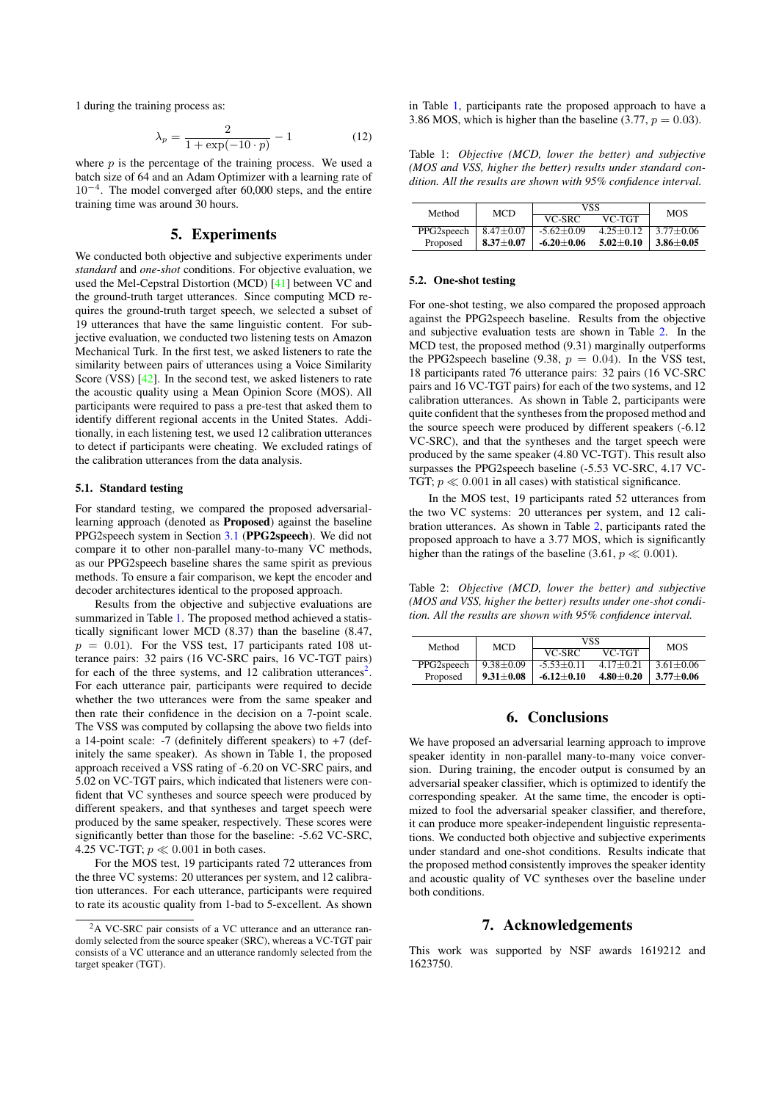1 during the training process as:

$$
\lambda_p = \frac{2}{1 + \exp(-10 \cdot p)} - 1 \tag{12}
$$

where  $p$  is the percentage of the training process. We used a batch size of 64 and an Adam Optimizer with a learning rate of 10<sup>−</sup><sup>4</sup> . The model converged after 60,000 steps, and the entire training time was around 30 hours.

### 5. Experiments

We conducted both objective and subjective experiments under *standard* and *one-shot* conditions. For objective evaluation, we used the Mel-Cepstral Distortion (MCD) [\[41\]](#page-4-40) between VC and the ground-truth target utterances. Since computing MCD requires the ground-truth target speech, we selected a subset of 19 utterances that have the same linguistic content. For subjective evaluation, we conducted two listening tests on Amazon Mechanical Turk. In the first test, we asked listeners to rate the similarity between pairs of utterances using a Voice Similarity Score (VSS) [\[42\]](#page-4-41). In the second test, we asked listeners to rate the acoustic quality using a Mean Opinion Score (MOS). All participants were required to pass a pre-test that asked them to identify different regional accents in the United States. Additionally, in each listening test, we used 12 calibration utterances to detect if participants were cheating. We excluded ratings of the calibration utterances from the data analysis.

#### 5.1. Standard testing

For standard testing, we compared the proposed adversariallearning approach (denoted as Proposed) against the baseline PPG2speech system in Section [3.1](#page-1-2) (PPG2speech). We did not compare it to other non-parallel many-to-many VC methods, as our PPG2speech baseline shares the same spirit as previous methods. To ensure a fair comparison, we kept the encoder and decoder architectures identical to the proposed approach.

Results from the objective and subjective evaluations are summarized in Table [1.](#page-3-0) The proposed method achieved a statistically significant lower MCD (8.37) than the baseline (8.47,  $p = 0.01$ ). For the VSS test, 17 participants rated 108 utterance pairs: 32 pairs (16 VC-SRC pairs, 16 VC-TGT pairs) for each of the three systems, and 1[2](#page-3-1) calibration utterances<sup>2</sup>. For each utterance pair, participants were required to decide whether the two utterances were from the same speaker and then rate their confidence in the decision on a 7-point scale. The VSS was computed by collapsing the above two fields into a 14-point scale: -7 (definitely different speakers) to +7 (definitely the same speaker). As shown in Table 1, the proposed approach received a VSS rating of -6.20 on VC-SRC pairs, and 5.02 on VC-TGT pairs, which indicated that listeners were confident that VC syntheses and source speech were produced by different speakers, and that syntheses and target speech were produced by the same speaker, respectively. These scores were significantly better than those for the baseline: -5.62 VC-SRC, 4.25 VC-TGT;  $p \ll 0.001$  in both cases.

For the MOS test, 19 participants rated 72 utterances from the three VC systems: 20 utterances per system, and 12 calibration utterances. For each utterance, participants were required to rate its acoustic quality from 1-bad to 5-excellent. As shown in Table [1,](#page-3-0) participants rate the proposed approach to have a 3.86 MOS, which is higher than the baseline (3.77,  $p = 0.03$ ).

<span id="page-3-0"></span>Table 1: *Objective (MCD, lower the better) and subjective (MOS and VSS, higher the better) results under standard condition. All the results are shown with 95% confidence interval.*

| Method     | <b>MCD</b>    | VSS              |               | <b>MOS</b>    |
|------------|---------------|------------------|---------------|---------------|
|            |               | VC-SRC           | VC-TGT        |               |
| PPG2speech | $8.47 + 0.07$ | $-5.62 + 0.09$   | $4.25 + 0.12$ | $3.77 + 0.06$ |
| Proposed   | $8.37+0.07$   | -6.20 $\pm$ 0.06 | $5.02 + 0.10$ | $3.86 + 0.05$ |

#### 5.2. One-shot testing

For one-shot testing, we also compared the proposed approach against the PPG2speech baseline. Results from the objective and subjective evaluation tests are shown in Table [2.](#page-3-2) In the MCD test, the proposed method (9.31) marginally outperforms the PPG2speech baseline (9.38,  $p = 0.04$ ). In the VSS test, 18 participants rated 76 utterance pairs: 32 pairs (16 VC-SRC pairs and 16 VC-TGT pairs) for each of the two systems, and 12 calibration utterances. As shown in Table 2, participants were quite confident that the syntheses from the proposed method and the source speech were produced by different speakers (-6.12 VC-SRC), and that the syntheses and the target speech were produced by the same speaker (4.80 VC-TGT). This result also surpasses the PPG2speech baseline (-5.53 VC-SRC, 4.17 VC-TGT;  $p \ll 0.001$  in all cases) with statistical significance.

In the MOS test, 19 participants rated 52 utterances from the two VC systems: 20 utterances per system, and 12 calibration utterances. As shown in Table [2,](#page-3-2) participants rated the proposed approach to have a 3.77 MOS, which is significantly higher than the ratings of the baseline (3.61,  $p \ll 0.001$ ).

<span id="page-3-2"></span>Table 2: *Objective (MCD, lower the better) and subjective (MOS and VSS, higher the better) results under one-shot condition. All the results are shown with 95% confidence interval.*

| Method     | <b>MCD</b>    | VSS          |               | <b>MOS</b>    |
|------------|---------------|--------------|---------------|---------------|
|            |               | VC-SRC       | VC-TGT        |               |
| PPG2speech | $9.38 + 0.09$ | $-5.53+0.11$ | $417+0.21$    | $3.61 + 0.06$ |
| Proposed   | $9.31 + 0.08$ | $-6.12+0.10$ | $4.80 + 0.20$ | $3.77 + 0.06$ |

## 6. Conclusions

We have proposed an adversarial learning approach to improve speaker identity in non-parallel many-to-many voice conversion. During training, the encoder output is consumed by an adversarial speaker classifier, which is optimized to identify the corresponding speaker. At the same time, the encoder is optimized to fool the adversarial speaker classifier, and therefore, it can produce more speaker-independent linguistic representations. We conducted both objective and subjective experiments under standard and one-shot conditions. Results indicate that the proposed method consistently improves the speaker identity and acoustic quality of VC syntheses over the baseline under both conditions.

# 7. Acknowledgements

This work was supported by NSF awards 1619212 and 1623750.

<span id="page-3-1"></span><sup>&</sup>lt;sup>2</sup>A VC-SRC pair consists of a VC utterance and an utterance randomly selected from the source speaker (SRC), whereas a VC-TGT pair consists of a VC utterance and an utterance randomly selected from the target speaker (TGT).